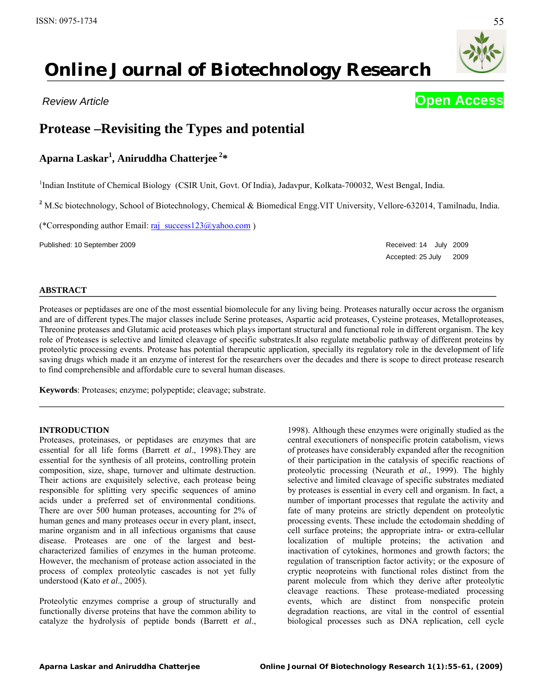# **Online Journal of Biotechnology Research**

# **Protease –Revisiting the Types and potential**

## **Aparna Laskar<sup>1</sup> , Aniruddha Chatterjee <sup>2</sup> \***

<sup>1</sup>Indian Institute of Chemical Biology (CSIR Unit, Govt. Of India), Jadavpur, Kolkata-700032, West Bengal, India.

<sup>2</sup> M.Sc biotechnology, School of Biotechnology, Chemical & Biomedical Engg.VIT University, Vellore-632014, Tamilnadu, India.

(\*Corresponding author Email:  $\overline{raj}$  success123@yahoo.com )

Published: 10 September 2009 Received: 14 July 2009

٦

Accepted: 25 July 2009

#### **ABSTRACT**

Proteases or peptidases are one of the most essential biomolecule for any living being. Proteases naturally occur across the organism and are of different types.The major classes include Serine proteases, Aspartic acid proteases, Cysteine proteases, Metalloproteases, Threonine proteases and Glutamic acid proteases which plays important structural and functional role in different organism. The key role of Proteases is selective and limited cleavage of specific substrates.It also regulate metabolic pathway of different proteins by proteolytic processing events. Protease has potential therapeutic application, specially its regulatory role in the development of life saving drugs which made it an enzyme of interest for the researchers over the decades and there is scope to direct protease research to find comprehensible and affordable cure to several human diseases.

**Keywords**: Proteases; enzyme; polypeptide; cleavage; substrate.

#### **INTRODUCTION**

Proteases, proteinases, or peptidases are enzymes that are essential for all life forms (Barrett *et al*., 1998).They are essential for the synthesis of all proteins, controlling protein composition, size, shape, turnover and ultimate destruction. Their actions are exquisitely selective, each protease being responsible for splitting very specific sequences of amino acids under a preferred set of environmental conditions. There are over 500 human proteases, accounting for 2% of human genes and many proteases occur in every plant, insect, marine organism and in all infectious organisms that cause disease. Proteases are one of the largest and bestcharacterized families of enzymes in the human proteome. However, the mechanism of protease action associated in the process of complex proteolytic cascades is not yet fully understood (Kato *et al*., 2005).

Proteolytic enzymes comprise a group of structurally and functionally diverse proteins that have the common ability to catalyze the hydrolysis of peptide bonds (Barrett *et al*., 1998). Although these enzymes were originally studied as the central executioners of nonspecific protein catabolism, views of proteases have considerably expanded after the recognition of their participation in the catalysis of specific reactions of proteolytic processing (Neurath *et al*., 1999). The highly selective and limited cleavage of specific substrates mediated by proteases is essential in every cell and organism. In fact, a number of important processes that regulate the activity and fate of many proteins are strictly dependent on proteolytic processing events. These include the ectodomain shedding of cell surface proteins; the appropriate intra- or extra-cellular localization of multiple proteins; the activation and inactivation of cytokines, hormones and growth factors; the regulation of transcription factor activity; or the exposure of cryptic neoproteins with functional roles distinct from the parent molecule from which they derive after proteolytic cleavage reactions. These protease-mediated processing events, which are distinct from nonspecific protein degradation reactions, are vital in the control of essential biological processes such as DNA replication, cell cycle



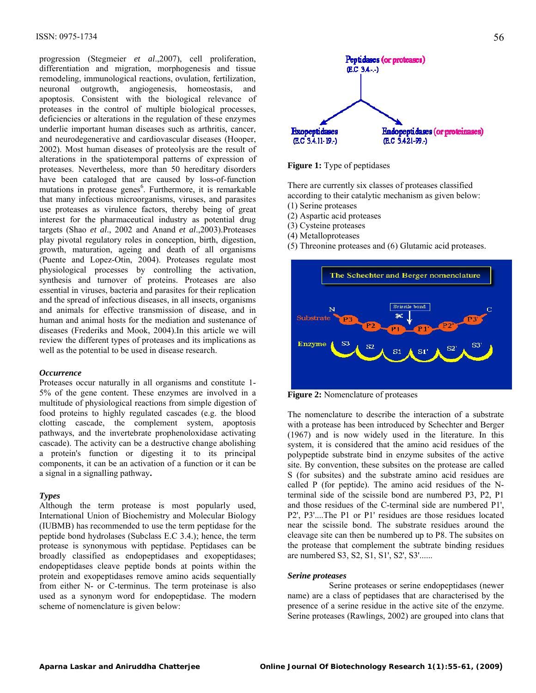progression (Stegmeier *et al*.,2007), cell proliferation, differentiation and migration, morphogenesis and tissue remodeling, immunological reactions, ovulation, fertilization, neuronal outgrowth, angiogenesis, homeostasis, and apoptosis. Consistent with the biological relevance of proteases in the control of multiple biological processes, deficiencies or alterations in the regulation of these enzymes underlie important human diseases such as arthritis, cancer, and neurodegenerative and cardiovascular diseases (Hooper, 2002). Most human diseases of proteolysis are the result of alterations in the spatiotemporal patterns of expression of proteases. Nevertheless, more than 50 hereditary disorders have been cataloged that are caused by loss-of-function mutations in protease genes<sup>6</sup>. Furthermore, it is remarkable that many infectious microorganisms, viruses, and parasites use proteases as virulence factors, thereby being of great interest for the pharmaceutical industry as potential drug targets (Shao *et al*., 2002 and Anand *et al*.,2003).Proteases play pivotal regulatory roles in conception, birth, digestion, growth, maturation, ageing and death of all organisms (Puente and Lopez-Otin, 2004). Proteases regulate most physiological processes by controlling the activation, synthesis and turnover of proteins. Proteases are also essential in viruses, bacteria and parasites for their replication and the spread of infectious diseases, in all insects, organisms and animals for effective transmission of disease, and in human and animal hosts for the mediation and sustenance of diseases (Frederiks and Mook, 2004).In this article we will review the different types of proteases and its implications as well as the potential to be used in disease research.

#### *Occurrence*

Proteases occur naturally in all organisms and constitute 1- 5% of the gene content. These enzymes are involved in a multitude of physiological reactions from simple digestion of food proteins to highly regulated cascades (e.g. the blood clotting cascade, the complement system, apoptosis pathways, and the invertebrate prophenoloxidase activating cascade). The activity can be a destructive change abolishing a protein's function or digesting it to its principal components, it can be an activation of a function or it can be a signal in a signalling pathway**.**

#### *Types*

Although the term protease is most popularly used, International Union of Biochemistry and Molecular Biology (IUBMB) has recommended to use the term peptidase for the peptide bond hydrolases (Subclass E.C 3.4.); hence, the term protease is synonymous with peptidase. Peptidases can be broadly classified as endopeptidases and exopeptidases; endopeptidases cleave peptide bonds at points within the protein and exopeptidases remove amino acids sequentially from either N- or C-terminus. The term proteinase is also used as a synonym word for endopeptidase. The modern scheme of nomenclature is given below:



**Figure 1:** Type of peptidases

There are currently six classes of proteases classified according to their catalytic mechanism as given below:

- (1) Serine proteases
- (2) Aspartic acid proteases
- (3) Cysteine proteases
- (4) Metalloproteases
- (5) Threonine proteases and (6) Glutamic acid proteases.



**Figure 2:** Nomenclature of proteases

The nomenclature to describe the interaction of a substrate with a protease has been introduced by Schechter and Berger (1967) and is now widely used in the literature. In this system, it is considered that the amino acid residues of the polypeptide substrate bind in enzyme subsites of the active site. By convention, these subsites on the protease are called S (for subsites) and the substrate amino acid residues are called P (for peptide). The amino acid residues of the Nterminal side of the scissile bond are numbered P3, P2, P1 and those residues of the C-terminal side are numbered P1', P2', P3'....The P1 or P1' residues are those residues located near the scissile bond. The substrate residues around the cleavage site can then be numbered up to P8. The subsites on the protease that complement the subtrate binding residues are numbered S3, S2, S1, S1', S2', S3'......

#### *Serine proteases*

 Serine proteases or serine endopeptidases (newer name) are a class of peptidases that are characterised by the presence of a serine residue in the active site of the enzyme. Serine proteases (Rawlings, 2002) are grouped into clans that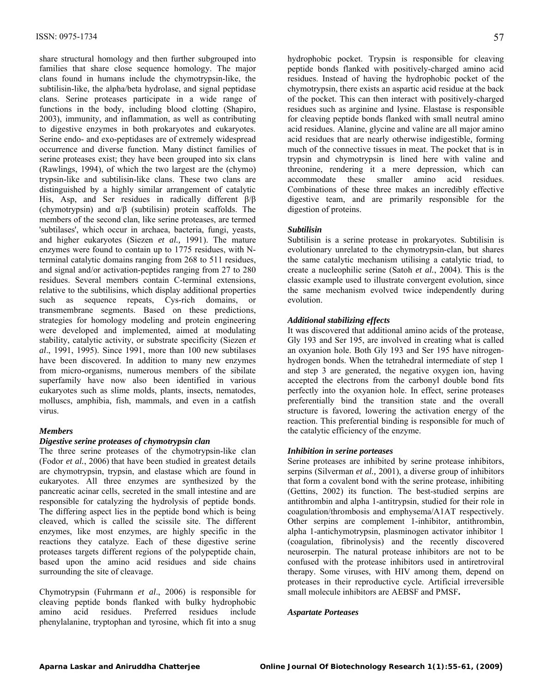share structural homology and then further subgrouped into families that share close sequence homology. The major clans found in humans include the chymotrypsin-like, the subtilisin-like, the alpha/beta hydrolase, and signal peptidase clans. Serine proteases participate in a wide range of functions in the body, including blood clotting (Shapiro, 2003), immunity, and inflammation, as well as contributing to digestive enzymes in both prokaryotes and eukaryotes. Serine endo- and exo-peptidases are of extremely widespread occurrence and diverse function. Many distinct families of serine proteases exist; they have been grouped into six clans (Rawlings, 1994), of which the two largest are the (chymo) trypsin-like and subtilisin-like clans. These two clans are distinguished by a highly similar arrangement of catalytic His, Asp, and Ser residues in radically different β/β (chymotrypsin) and  $\alpha/\beta$  (subtilisin) protein scaffolds. The members of the second clan, like serine proteases, are termed 'subtilases', which occur in archaea, bacteria, fungi, yeasts, and higher eukaryotes (Siezen *et al.,* 1991). The mature enzymes were found to contain up to 1775 residues, with Nterminal catalytic domains ranging from 268 to 511 residues, and signal and/or activation-peptides ranging from 27 to 280 residues. Several members contain C-terminal extensions, relative to the subtilisins, which display additional properties such as sequence repeats, Cys-rich domains, or transmembrane segments. Based on these predictions, strategies for homology modeling and protein engineering were developed and implemented, aimed at modulating stability, catalytic activity, or substrate specificity (Siezen *et al*., 1991, 1995). Since 1991, more than 100 new subtilases have been discovered. In addition to many new enzymes from micro-organisms, numerous members of the sibilate superfamily have now also been identified in various eukaryotes such as slime molds, plants, insects, nematodes, molluscs, amphibia, fish, mammals, and even in a catfish virus.

### *Members*

#### *Digestive serine proteases of chymotrypsin clan*

The three serine proteases of the chymotrypsin-like clan (Fodor *et al.*, 2006) that have been studied in greatest details are chymotrypsin, trypsin, and elastase which are found in eukaryotes. All three enzymes are synthesized by the pancreatic acinar cells, secreted in the small intestine and are responsible for catalyzing the hydrolysis of peptide bonds. The differing aspect lies in the peptide bond which is being cleaved, which is called the scissile site. The different enzymes, like most enzymes, are highly specific in the reactions they catalyze. Each of these digestive serine proteases targets different regions of the polypeptide chain, based upon the amino acid residues and side chains surrounding the site of cleavage.

Chymotrypsin (Fuhrmann *et al*., 2006) is responsible for cleaving peptide bonds flanked with bulky hydrophobic amino acid residues. Preferred residues include phenylalanine, tryptophan and tyrosine, which fit into a snug hydrophobic pocket. Trypsin is responsible for cleaving peptide bonds flanked with positively-charged amino acid residues. Instead of having the hydrophobic pocket of the chymotrypsin, there exists an aspartic acid residue at the back of the pocket. This can then interact with positively-charged residues such as arginine and lysine. Elastase is responsible for cleaving peptide bonds flanked with small neutral amino acid residues. Alanine, glycine and valine are all major amino acid residues that are nearly otherwise indigestible, forming much of the connective tissues in meat. The pocket that is in trypsin and chymotrypsin is lined here with valine and threonine, rendering it a mere depression, which can accommodate these smaller amino acid residues. Combinations of these three makes an incredibly effective digestive team, and are primarily responsible for the digestion of proteins.

#### *Subtilisin*

Subtilisin is a serine protease in prokaryotes. Subtilisin is evolutionary unrelated to the chymotrypsin-clan, but shares the same catalytic mechanism utilising a catalytic triad, to create a nucleophilic serine (Satoh *et al.*, 2004). This is the classic example used to illustrate convergent evolution, since the same mechanism evolved twice independently during evolution.

#### *Additional stabilizing effects*

It was discovered that additional amino acids of the protease, Gly 193 and Ser 195, are involved in creating what is called an oxyanion hole. Both Gly 193 and Ser 195 have nitrogenhydrogen bonds. When the tetrahedral intermediate of step 1 and step 3 are generated, the negative oxygen ion, having accepted the electrons from the carbonyl double bond fits perfectly into the oxyanion hole. In effect, serine proteases preferentially bind the transition state and the overall structure is favored, lowering the activation energy of the reaction. This preferential binding is responsible for much of the catalytic efficiency of the enzyme.

#### *Inhibition in serine porteases*

Serine proteases are inhibited by serine protease inhibitors, serpins (Silverman *et al.,* 2001), a diverse group of inhibitors that form a covalent bond with the serine protease, inhibiting (Gettins, 2002) its function. The best-studied serpins are antithrombin and alpha 1-antitrypsin, studied for their role in coagulation/thrombosis and emphysema/A1AT respectively. Other serpins are complement 1-inhibitor, antithrombin, alpha 1-antichymotrypsin, plasminogen activator inhibitor 1 (coagulation, fibrinolysis) and the recently discovered neuroserpin. The natural protease inhibitors are not to be confused with the protease inhibitors used in antiretroviral therapy. Some viruses, with HIV among them, depend on proteases in their reproductive cycle. Artificial irreversible small molecule inhibitors are AEBSF and PMSF**.**

#### *Aspartate Porteases*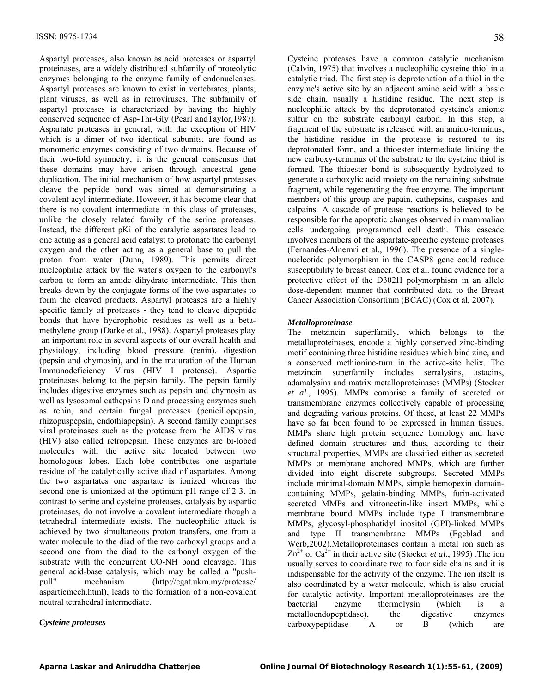Aspartyl proteases, also known as acid proteases or aspartyl proteinases, are a widely distributed subfamily of proteolytic enzymes belonging to the enzyme family of endonucleases. Aspartyl proteases are known to exist in vertebrates, plants, plant viruses, as well as in retroviruses. The subfamily of aspartyl proteases is characterized by having the highly conserved sequence of Asp-Thr-Gly (Pearl andTaylor,1987). Aspartate proteases in general, with the exception of HIV which is a dimer of two identical subunits, are found as monomeric enzymes consisting of two domains. Because of their two-fold symmetry, it is the general consensus that these domains may have arisen through ancestral gene duplication. The initial mechanism of how aspartyl proteases cleave the peptide bond was aimed at demonstrating a covalent acyl intermediate. However, it has become clear that there is no covalent intermediate in this class of proteases, unlike the closely related family of the serine proteases. Instead, the different pKi of the catalytic aspartates lead to one acting as a general acid catalyst to protonate the carbonyl oxygen and the other acting as a general base to pull the proton from water (Dunn, 1989). This permits direct nucleophilic attack by the water's oxygen to the carbonyl's carbon to form an amide dihydrate intermediate. This then breaks down by the conjugate forms of the two aspartates to form the cleaved products. Aspartyl proteases are a highly specific family of proteases - they tend to cleave dipeptide bonds that have hydrophobic residues as well as a betamethylene group (Darke et al., 1988). Aspartyl proteases play an important role in several aspects of our overall health and physiology, including blood pressure (renin), digestion (pepsin and chymosin), and in the maturation of the Human Immunodeficiency Virus (HIV I protease). Aspartic proteinases belong to the pepsin family. The pepsin family includes digestive enzymes such as pepsin and chymosin as well as lysosomal cathepsins D and processing enzymes such as renin, and certain fungal proteases (penicillopepsin, rhizopuspepsin, endothiapepsin). A second family comprises viral proteinases such as the protease from the AIDS virus (HIV) also called retropepsin. These enzymes are bi-lobed molecules with the active site located between two homologous lobes. Each lobe contributes one aspartate residue of the catalytically active diad of aspartates. Among the two aspartates one aspartate is ionized whereas the second one is unionized at the optimum pH range of 2-3. In contrast to serine and cysteine proteases, catalysis by aspartic proteinases, do not involve a covalent intermediate though a tetrahedral intermediate exists. The nucleophilic attack is achieved by two simultaneous proton transfers, one from a water molecule to the diad of the two carboxyl groups and a second one from the diad to the carbonyl oxygen of the substrate with the concurrent CO-NH bond cleavage. This general acid-base catalysis, which may be called a "pushpull" mechanism (http://cgat.ukm.my/protease/ asparticmech.html), leads to the formation of a non-covalent neutral tetrahedral intermediate.

#### *Cysteine proteases*

Cysteine proteases have a common catalytic mechanism (Calvin, 1975) that involves a nucleophilic cysteine thiol in a catalytic triad. The first step is deprotonation of a thiol in the enzyme's active site by an adjacent amino acid with a basic side chain, usually a histidine residue. The next step is nucleophilic attack by the deprotonated cysteine's anionic sulfur on the substrate carbonyl carbon. In this step, a fragment of the substrate is released with an amino-terminus, the histidine residue in the protease is restored to its deprotonated form, and a thioester intermediate linking the new carboxy-terminus of the substrate to the cysteine thiol is formed. The thioester bond is subsequently hydrolyzed to generate a carboxylic acid moiety on the remaining substrate fragment, while regenerating the free enzyme. The important members of this group are papain, cathepsins, caspases and calpains. A cascade of protease reactions is believed to be responsible for the apoptotic changes observed in mammalian cells undergoing programmed cell death. This cascade involves members of the aspartate-specific cysteine proteases (Fernandes-Alnemri et al., 1996). The presence of a singlenucleotide polymorphism in the CASP8 gene could reduce susceptibility to breast cancer. Cox et al. found evidence for a protective effect of the D302H polymorphism in an allele dose-dependent manner that contributed data to the Breast Cancer Association Consortium (BCAC) (Cox et al, 2007).

### *Metalloproteinase*

The metzincin superfamily, which belongs to the metalloproteinases, encode a highly conserved zinc-binding motif containing three histidine residues which bind zinc, and a conserved methionine-turn in the active-site helix. The metzincin superfamily includes serralysins, astacins, adamalysins and matrix metalloproteinases (MMPs) (Stocker *et al.*, 1995). MMPs comprise a family of secreted or transmembrane enzymes collectively capable of processing and degrading various proteins. Of these, at least 22 MMPs have so far been found to be expressed in human tissues. MMPs share high protein sequence homology and have defined domain structures and thus, according to their structural properties, MMPs are classified either as secreted MMPs or membrane anchored MMPs, which are further divided into eight discrete subgroups. Secreted MMPs include minimal-domain MMPs, simple hemopexin domaincontaining MMPs, gelatin-binding MMPs, furin-activated secreted MMPs and vitronectin-like insert MMPs, while membrane bound MMPs include type I transmembrane MMPs, glycosyl-phosphatidyl inositol (GPI)-linked MMPs and type II transmembrane MMPs (Egeblad and Werb,2002).Metalloproteinases contain a metal ion such as  $\text{Zn}^{2+}$  or  $\text{Ca}^{2+}$  in their active site (Stocker *et al.*, 1995). The ion usually serves to coordinate two to four side chains and it is indispensable for the activity of the enzyme. The ion itself is also coordinated by a water molecule, which is also crucial for catalytic activity. Important metalloproteinases are the bacterial enzyme thermolysin (which is a metalloendopeptidase), the digestive enzymes carboxypeptidase A or B (which are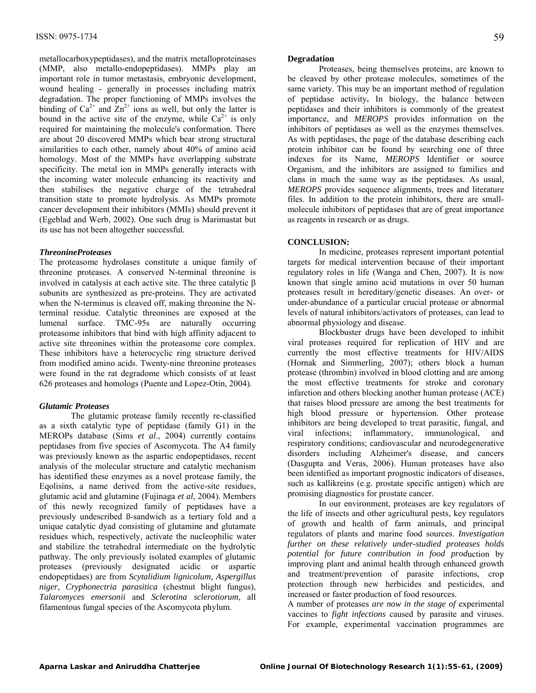metallocarboxypeptidases), and the matrix metalloproteinases (MMP, also metallo-endopeptidases). MMPs play an important role in tumor metastasis, embryonic development, wound healing - generally in processes including matrix degradation. The proper functioning of MMPs involves the binding of  $Ca^{2+}$  and  $Zn^{2+}$  ions as well, but only the latter is bound in the active site of the enzyme, while  $Ca^{2+}$  is only required for maintaining the molecule's conformation. There are about 20 discovered MMPs which bear strong structural similarities to each other, namely about 40% of amino acid homology. Most of the MMPs have overlapping substrate specificity. The metal ion in MMPs generally interacts with the incoming water molecule enhancing its reactivity and then stabilises the negative charge of the tetrahedral transition state to promote hydrolysis. As MMPs promote cancer development their inhibitors (MMIs) should prevent it (Egeblad and Werb, 2002). One such drug is Marimastat but its use has not been altogether successful.

#### *ThreonineProteases*

The proteasome hydrolases constitute a unique family of threonine proteases. A conserved N-terminal threonine is involved in catalysis at each active site. The three catalytic  $\beta$ subunits are synthesized as pre-proteins. They are activated when the N-terminus is cleaved off, making threonine the Nterminal residue. Catalytic threonines are exposed at the lumenal surface. TMC-95s are naturally occurring proteasome inhibitors that bind with high affinity adjacent to active site threonines within the proteasome core complex. These inhibitors have a heterocyclic ring structure derived from modified amino acids. Twenty-nine threonine proteases were found in the rat degradome which consists of at least 626 proteases and homologs (Puente and Lopez-Otin, 2004).

#### *Glutamic Proteases*

The glutamic protease family recently re-classified as a sixth catalytic type of peptidase (family G1) in the MEROPs database (Sims *et al*., 2004) currently contains peptidases from five species of Ascomycota. The A4 family was previously known as the aspartic endopeptidases, recent analysis of the molecular structure and catalytic mechanism has identified these enzymes as a novel protease family, the Eqolisins, a name derived from the active-site residues, glutamic acid and glutamine (Fujinaga *et al*, 2004). Members of this newly recognized family of peptidases have a previously undescribed ß-sandwich as a tertiary fold and a unique catalytic dyad consisting of glutamine and glutamate residues which, respectively, activate the nucleophilic water and stabilize the tetrahedral intermediate on the hydrolytic pathway. The only previously isolated examples of glutamic proteases (previously designated acidic or aspartic endopeptidaes) are from *Scytalidium lignicolum, Aspergillus niger, Cryphonectria parasitica* (chestnut blight fungus), *Talaromyces emersonii* and *Sclerotina sclerotiorum*, all filamentous fungal species of the Ascomycota phylum.

#### **Degradation**

Proteases, being themselves proteins, are known to be cleaved by other protease molecules, sometimes of the same variety. This may be an important method of regulation of peptidase activity**.** In biology, the balance between peptidases and their inhibitors is commonly of the greatest importance, and *MEROPS* provides information on the inhibitors of peptidases as well as the enzymes themselves. As with peptidases, the page of the database describing each protein inhibitor can be found by searching one of three indexes for its Name, *MEROPS* Identifier or source Organism, and the inhibitors are assigned to families and clans in much the same way as the peptidases. As usual, *MEROPS* provides sequence alignments, trees and literature files. In addition to the protein inhibitors, there are smallmolecule inhibitors of peptidases that are of great importance as reagents in research or as drugs.

#### **CONCLUSION:**

In medicine, proteases represent important potential targets for medical intervention because of their important regulatory roles in life (Wanga and Chen, 2007). It is now known that single amino acid mutations in over 50 human proteases result in hereditary/genetic diseases. An over- or under-abundance of a particular crucial protease or abnormal levels of natural inhibitors/activators of proteases, can lead to abnormal physiology and disease.

Blockbuster drugs have been developed to inhibit viral proteases required for replication of HIV and are currently the most effective treatments for HIV/AIDS (Hornak and Simmerling, 2007); others block a human protease (thrombin) involved in blood clotting and are among the most effective treatments for stroke and coronary infarction and others blocking another human protease (ACE) that raises blood pressure are among the best treatments for high blood pressure or hypertension. Other protease inhibitors are being developed to treat parasitic, fungal, and viral infections; inflammatory, immunological, and respiratory conditions; cardiovascular and neurodegenerative disorders including Alzheimer's disease, and cancers (Dasgupta and Veras, 2006). Human proteases have also been identified as important prognostic indicators of diseases, such as kallikreins (e.g. prostate specific antigen) which are promising diagnostics for prostate cancer.

In our environment, proteases are key regulators of the life of insects and other agricultural pests, key regulators of growth and health of farm animals, and principal regulators of plants and marine food sources. *Investigation further on these relatively under-studied proteases holds potential for future contribution in food prod*uction by improving plant and animal health through enhanced growth and treatment/prevention of parasite infections, crop protection through new herbicides and pesticides, and increased or faster production of food resources.

A number of proteases *are now in the stage of* experimental vaccines to *fight infections* caused by parasite and viruses. For example, experimental vaccination programmes are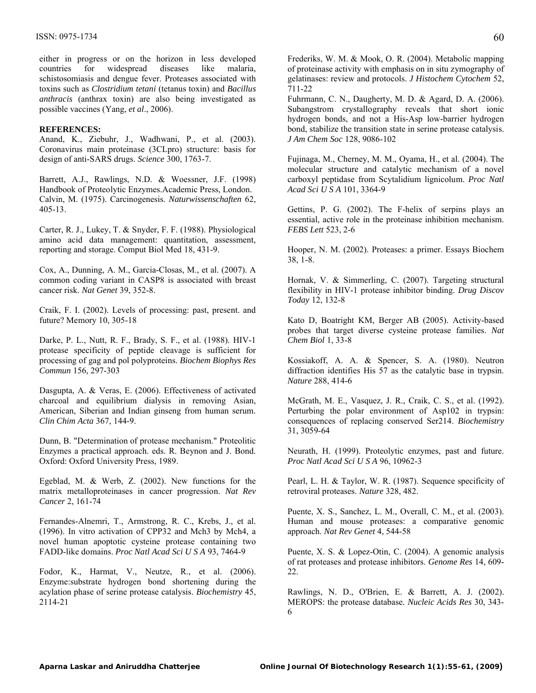either in progress or on the horizon in less developed countries for widespread diseases like malaria, schistosomiasis and dengue fever. Proteases associated with toxins such as *Clostridium tetani* (tetanus toxin) and *Bacillus anthracis* (anthrax toxin) are also being investigated as possible vaccines (Yang, *et al*., 2006).

#### **REFERENCES:**

Anand, K., Ziebuhr, J., Wadhwani, P., et al. (2003). Coronavirus main proteinase (3CLpro) structure: basis for design of anti-SARS drugs. *Science* 300, 1763-7.

Barrett, A.J., Rawlings, N.D. & Woessner, J.F. (1998) Handbook of Proteolytic Enzymes.Academic Press, London. Calvin, M. (1975). Carcinogenesis. *Naturwissenschaften* 62, 405-13.

Carter, R. J., Lukey, T. & Snyder, F. F. (1988). Physiological amino acid data management: quantitation, assessment, reporting and storage. Comput Biol Med 18, 431-9.

Cox, A., Dunning, A. M., Garcia-Closas, M., et al. (2007). A common coding variant in CASP8 is associated with breast cancer risk. *Nat Genet* 39, 352-8.

Craik, F. I. (2002). Levels of processing: past, present. and future? Memory 10, 305-18

Darke, P. L., Nutt, R. F., Brady, S. F., et al. (1988). HIV-1 protease specificity of peptide cleavage is sufficient for processing of gag and pol polyproteins. *Biochem Biophys Res Commun* 156, 297-303

Dasgupta, A. & Veras, E. (2006). Effectiveness of activated charcoal and equilibrium dialysis in removing Asian, American, Siberian and Indian ginseng from human serum. *Clin Chim Acta* 367, 144-9.

Dunn, B. "Determination of protease mechanism." Proteolitic Enzymes a practical approach. eds. R. Beynon and J. Bond. Oxford: Oxford University Press, 1989.

Egeblad, M. & Werb, Z. (2002). New functions for the matrix metalloproteinases in cancer progression. *Nat Rev Cancer* 2, 161-74

Fernandes-Alnemri, T., Armstrong, R. C., Krebs, J., et al. (1996). In vitro activation of CPP32 and Mch3 by Mch4, a novel human apoptotic cysteine protease containing two FADD-like domains. *Proc Natl Acad Sci U S A* 93, 7464-9

Fodor, K., Harmat, V., Neutze, R., et al. (2006). Enzyme:substrate hydrogen bond shortening during the acylation phase of serine protease catalysis. *Biochemistry* 45, 2114-21

Frederiks, W. M. & Mook, O. R. (2004). Metabolic mapping of proteinase activity with emphasis on in situ zymography of gelatinases: review and protocols. *J Histochem Cytochem* 52, 711-22

Fuhrmann, C. N., Daugherty, M. D. & Agard, D. A. (2006). Subangstrom crystallography reveals that short ionic hydrogen bonds, and not a His-Asp low-barrier hydrogen bond, stabilize the transition state in serine protease catalysis. *J Am Chem Soc* 128, 9086-102

Fujinaga, M., Cherney, M. M., Oyama, H., et al. (2004). The molecular structure and catalytic mechanism of a novel carboxyl peptidase from Scytalidium lignicolum. *Proc Natl Acad Sci U S A* 101, 3364-9

Gettins, P. G. (2002). The F-helix of serpins plays an essential, active role in the proteinase inhibition mechanism. *FEBS Lett* 523, 2-6

Hooper, N. M. (2002). Proteases: a primer. Essays Biochem 38, 1-8.

Hornak, V. & Simmerling, C. (2007). Targeting structural flexibility in HIV-1 protease inhibitor binding. *Drug Discov Today* 12, 132-8

Kato D, Boatright KM, Berger AB (2005). Activity-based probes that target diverse cysteine protease families. *Nat Chem Biol* 1, 33-8

Kossiakoff, A. A. & Spencer, S. A. (1980). Neutron diffraction identifies His 57 as the catalytic base in trypsin. *Nature* 288, 414-6

McGrath, M. E., Vasquez, J. R., Craik, C. S., et al. (1992). Perturbing the polar environment of Asp102 in trypsin: consequences of replacing conserved Ser214. *Biochemistry*  31, 3059-64

Neurath, H. (1999). Proteolytic enzymes, past and future. *Proc Natl Acad Sci U S A* 96, 10962-3

Pearl, L. H. & Taylor, W. R. (1987). Sequence specificity of retroviral proteases. *Nature* 328, 482.

Puente, X. S., Sanchez, L. M., Overall, C. M., et al. (2003). Human and mouse proteases: a comparative genomic approach. *Nat Rev Genet* 4, 544-58

Puente, X. S. & Lopez-Otin, C. (2004). A genomic analysis of rat proteases and protease inhibitors. *Genome Res* 14, 609- 22.

Rawlings, N. D., O'Brien, E. & Barrett, A. J. (2002). MEROPS: the protease database*. Nucleic Acids Res* 30, 343- 6